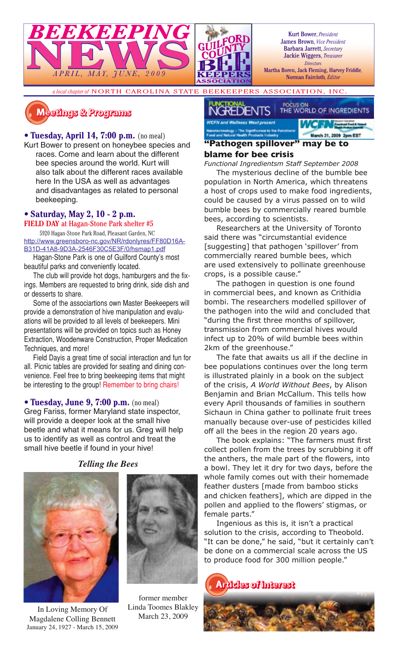

Kurt Bower, *President* James Brown, *Vice President* Barbara Jarrett, *Secretary* Jackie Wiggers, *Treasurer Directors*

Martha Boren, Jack Fleming, Harvey Friddle*,*  Norman Faircloth*, Editor*

*a local chapter of* NORTH CAROLINA STATE BEEKEEPERS ASSOCIATION, INC.

# **�������� � ��������**

### • **Tuesday, April 14, 7:00 p.m.** (no meal)

Kurt Bower to present on honeybee species and races. Come and learn about the different bee species around the world. Kurt will also talk about the different races available here In the USA as well as advantages and disadvantages as related to personal beekeeping.

# • **Saturday, May 2, 10 - 2 p.m.**

**FIELD DAY** at Hagan-Stone Park shelter #5 5920 Hagan-Stone Park Road, Pleasant Garden, NC

http://www.greensboro-nc.gov/NR/rdonlyres/FF80D16A-B31D-41A8-9D3A-2546F30C5E3F/0/hsmap1.pdf

Hagan-Stone Park is one of Guilford County's most beautiful parks and conveniently located.

The club will provide hot dogs, hamburgers and the fixings. Members are requested to bring drink, side dish and or desserts to share.

Some of the associartions own Master Beekeepers will provide a demonstration of hive manipulation and evaluations will be provided to all levels of beekeepers. Mini presentations will be provided on topics such as Honey Extraction, Woodenware Construction, Proper Medication Techniques, and more!

Field Dayis a great time of social interaction and fun for all. Picnic tables are provided for seating and dining convenience. Feel free to bring beekeeping items that might be interesting to the group! Remember to bring chairs!

• **Tuesday, June 9, 7:00 p.m.** (no meal) Greg Fariss, former Maryland state inspector, will provide a deeper look at the small hive beetle and what it means for us. Greg will help us to identify as well as control and treat the small hive beetle if found in your hive!

*Telling the Bees*



In Loving Memory Of Magdalene Colling Bennett January 24, 1927 - March 15, 2009



former member Linda Toomes Blakley March 23, 2009



#### **"Pathogen spillover" may be to blame for bee crisis**

*Functional Ingredientsm Staff September 2008*

The mysterious decline of the bumble bee population in North America, which threatens a host of crops used to make food ingredients, could be caused by a virus passed on to wild bumble bees by commercially reared bumble bees, according to scientists.

Researchers at the University of Toronto said there was "circumstantial evidence [suggesting] that pathogen 'spillover' from commercially reared bumble bees, which are used extensively to pollinate greenhouse crops, is a possible cause."

The pathogen in question is one found in commercial bees, and known as Crithidia bombi. The researchers modelled spillover of the pathogen into the wild and concluded that "during the first three months of spillover, transmission from commercial hives would infect up to 20% of wild bumble bees within 2km of the greenhouse."

The fate that awaits us all if the decline in bee populations continues over the long term is illustrated plainly in a book on the subject of the crisis, *A World Without Bees*, by Alison Benjamin and Brian McCallum. This tells how every April thousands of families in southern Sichaun in China gather to pollinate fruit trees manually because over-use of pesticides killed off all the bees in the region 20 years ago.

The book explains: "The farmers must first collect pollen from the trees by scrubbing it off the anthers, the male part of the flowers, into a bowl. They let it dry for two days, before the whole family comes out with their homemade feather dusters [made from bamboo sticks and chicken feathers], which are dipped in the pollen and applied to the flowers' stigmas, or female parts."

Ingenious as this is, it isn't a practical solution to the crisis, according to Theobold. "It can be done," he said, "but it certainly can't be done on a commercial scale across the US to produce food for 300 million people."

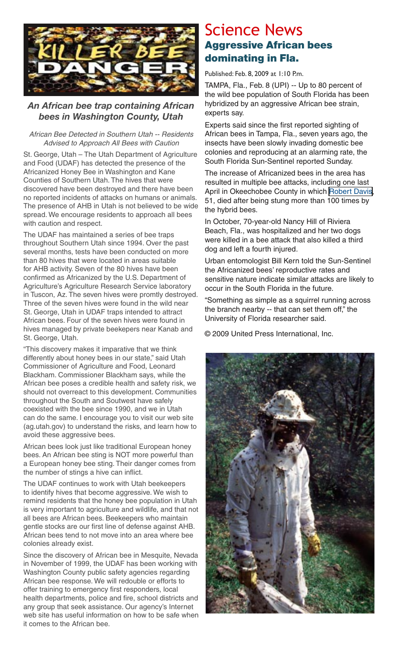

### *An African bee trap containing African bees in Washington County, Utah*

#### African Bee Detected in Southern Utah -- Residents Advised to Approach All Bees with Caution

St. George, Utah – The Utah Department of Agriculture and Food (UDAF) has detected the presence of the Africanized Honey Bee in Washington and Kane Counties of Southern Utah. The hives that were discovered have been destroyed and there have been no reported incidents of attacks on humans or animals. The presence of AHB in Utah is not believed to be wide spread. We encourage residents to approach all bees with caution and respect.

The UDAF has maintained a series of bee traps throughout Southern Utah since 1994. Over the past several months, tests have been conducted on more than 80 hives that were located in areas suitable for AHB activity. Seven of the 80 hives have been confirmed as Africanized by the U.S. Department of Agriculture's Agriculture Research Service laboratory in Tuscon, Az. The seven hives were promtly destroyed. Three of the seven hives were found in the wild near St. George, Utah in UDAF traps intended to attract African bees. Four of the seven hives were found in hives managed by private beekepers near Kanab and St. George, Utah.

"This discovery makes it imparative that we think differently about honey bees in our state," said Utah Commissioner of Agriculture and Food, Leonard Blackham. Commissioner Blackham says, while the African bee poses a credible health and safety risk, we should not overreact to this development. Communities throughout the South and Soutwest have safely coexisted with the bee since 1990, and we in Utah can do the same. I encourage you to visit our web site (ag.utah.gov) to understand the risks, and learn how to avoid these aggressive bees.

African bees look just like traditional European honey bees. An African bee sting is NOT more powerful than a European honey bee sting. Their danger comes from the number of stings a hive can inflict.

The UDAF continues to work with Utah beekeepers to identify hives that become aggressive. We wish to remind residents that the honey bee population in Utah is very important to agriculture and wildlife, and that not all bees are African bees. Beekeepers who maintain gentle stocks are our first line of defense against AHB. African bees tend to not move into an area where bee colonies already exist.

Since the discovery of African bee in Mesquite, Nevada in November of 1999, the UDAF has been working with Washington County public safety agencies regarding African bee response. We will redouble or efforts to offer training to emergency first responders, local health departments, police and fire, school districts and any group that seek assistance. Our agency's Internet web site has useful information on how to be safe when it comes to the African bee.

## Science News Aggressive African bees dominating in Fla.

Published: Feb. 8, 2009 at 1:10 P.m.

TAMPA, Fla., Feb. 8 (UPI) -- Up to 80 percent of the wild bee population of South Florida has been hybridized by an aggressive African bee strain, experts say.

Experts said since the first reported sighting of African bees in Tampa, Fla., seven years ago, the insects have been slowly invading domestic bee colonies and reproducing at an alarming rate, the South Florida Sun-Sentinel reported Sunday.

The increase of Africanized bees in the area has resulted in multiple bee attacks, including one last April in Okeechobee County in which [Robert Davis,](http://www.upi.com/topic/Robert_Davis/) 51, died after being stung more than 100 times by the hybrid bees.

In October, 70-year-old Nancy Hill of Riviera Beach, Fla., was hospitalized and her two dogs were killed in a bee attack that also killed a third dog and left a fourth injured.

Urban entomologist Bill Kern told the Sun-Sentinel the Africanized bees' reproductive rates and sensitive nature indicate similar attacks are likely to occur in the South Florida in the future.

"Something as simple as a squirrel running across the branch nearby -- that can set them off," the University of Florida researcher said.

© 2009 United Press International, Inc.

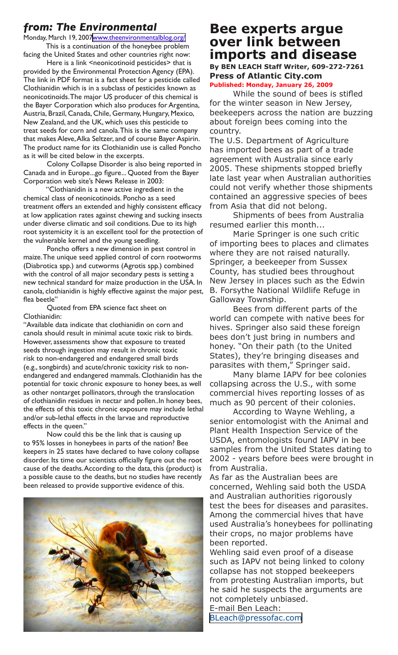## *from: The Environmental*

Monday, March 19, 200[7www.theenvironmentalblog.org/](http://www.theenvironmentalblog.org/2007/03/clothianidin-neonicotinoid-pesticide.html) This is a continuation of the honeybee problem

facing the United States and other countries right now: Here is a link <neonicotinoid pesticides> that is

provided by the Environmental Protection Agency (EPA). The link in PDF format is a fact sheet for a pesticide called Clothianidin which is in a subclass of pesticides known as neonicotinoids. The major US producer of this chemical is the Bayer Corporation which also produces for Argentina, Austria, Brazil, Canada, Chile, Germany, Hungary, Mexico, New Zealand, and the UK, which uses this pesticide to treat seeds for corn and canola. This is the same company that makes Aleve, Alka Seltzer, and of course Bayer Aspirin. The product name for its Clothianidin use is called Poncho as it will be cited below in the excerpts.

Colony Collapse Disorder is also being reported in Canada and in Europe...go figure... Quoted from the Bayer Corporation web site's News Release in 2003:

"Clothianidin is a new active ingredient in the chemical class of neonicotinoids. Poncho as a seed treatment offers an extended and highly consistent efficacy at low application rates against chewing and sucking insects under diverse climatic and soil conditions. Due to its high root systemicity it is an excellent tool for the protection of the vulnerable kernel and the young seedling.

Poncho offers a new dimension in pest control in maize. The unique seed applied control of corn rootworms (Diabrotica spp.) and cutworms (Agrotis spp.) combined with the control of all major secondary pests is setting a new technical standard for maize production in the USA. In canola, clothianidin is highly effective against the major pest, flea beetle"

Quoted from EPA science fact sheet on Clothianidin:

"Available data indicate that clothianidin on corn and canola should result in minimal acute toxic risk to birds. However, assessments show that exposure to treated seeds through ingestion may result in chronic toxic risk to non-endangered and endangered small birds (e.g., songbirds) and acute/chronic toxicity risk to nonendangered and endangered mammals. Clothianidin has the potential for toxic chronic exposure to honey bees, as well as other nontarget pollinators, through the translocation of clothianidin residues in nectar and pollen..In honey bees, the effects of this toxic chronic exposure may include lethal and/or sub-lethal effects in the larvae and reproductive effects in the queen."

Now could this be the link that is causing up to 95% losses in honeybees in parts of the nation? Bee keepers in 25 states have declared to have colony collapse disorder. Its time our scientists officially figure out the root cause of the deaths. According to the data, this (product) is a possible cause to the deaths, but no studies have recently been released to provide supportive evidence of this.



## **Bee experts argue over link between imports and disease By BEN LEACH Staff Writer, 609-272-7261**

**Press of Atlantic City.com Published: Monday, January 26, 2009**

While the sound of bees is stifled for the winter season in New Jersey, beekeepers across the nation are buzzing about foreign bees coming into the country.

The U.S. Department of Agriculture has imported bees as part of a trade agreement with Australia since early 2005. These shipments stopped briefly late last year when Australian authorities could not verify whether those shipments contained an aggressive species of bees from Asia that did not belong.

Shipments of bees from Australia resumed earlier this month...

Marie Springer is one such critic of importing bees to places and climates where they are not raised naturally. Springer, a beekeeper from Sussex County, has studied bees throughout New Jersey in places such as the Edwin B. Forsythe National Wildlife Refuge in Galloway Township.

Bees from different parts of the world can compete with native bees for hives. Springer also said these foreign bees don't just bring in numbers and honey. "On their path (to the United States), they're bringing diseases and parasites with them," Springer said.

Many blame IAPV for bee colonies collapsing across the U.S., with some commercial hives reporting losses of as much as 90 percent of their colonies.

According to Wayne Wehling, a senior entomologist with the Animal and Plant Health Inspection Service of the USDA, entomologists found IAPV in bee samples from the United States dating to 2002 - years before bees were brought in from Australia.

As far as the Australian bees are concerned, Wehling said both the USDA and Australian authorities rigorously test the bees for diseases and parasites. Among the commercial hives that have used Australia's honeybees for pollinating their crops, no major problems have been reported.

Wehling said even proof of a disease such as IAPV not being linked to colony collapse has not stopped beekeepers from protesting Australian imports, but he said he suspects the arguments are not completely unbiased. E-mail Ben Leach:

[BLeach@pressofac.com](mailto:BLeach@pressofac.com)